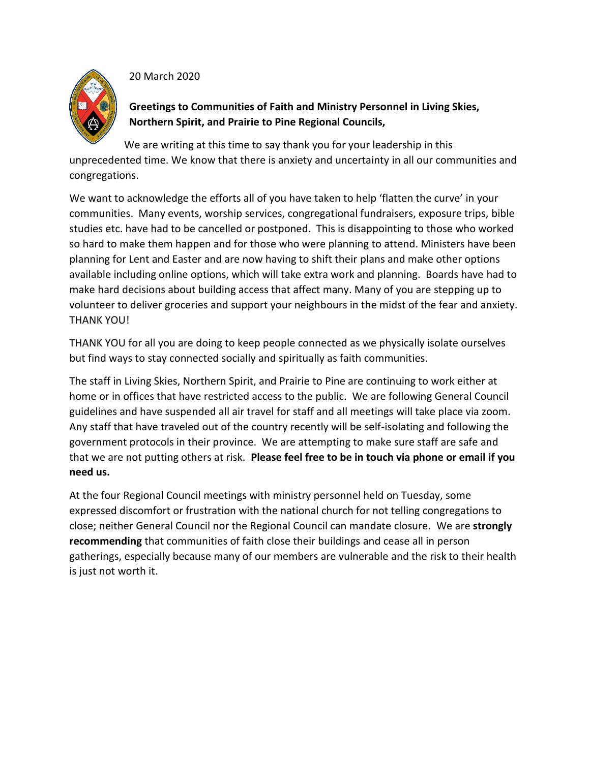## 20 March 2020



**Greetings to Communities of Faith and Ministry Personnel in Living Skies, Northern Spirit, and Prairie to Pine Regional Councils,**

We are writing at this time to say thank you for your leadership in this unprecedented time. We know that there is anxiety and uncertainty in all our communities and congregations.

We want to acknowledge the efforts all of you have taken to help 'flatten the curve' in your communities. Many events, worship services, congregational fundraisers, exposure trips, bible studies etc. have had to be cancelled or postponed. This is disappointing to those who worked so hard to make them happen and for those who were planning to attend. Ministers have been planning for Lent and Easter and are now having to shift their plans and make other options available including online options, which will take extra work and planning. Boards have had to make hard decisions about building access that affect many. Many of you are stepping up to volunteer to deliver groceries and support your neighbours in the midst of the fear and anxiety. THANK YOU!

THANK YOU for all you are doing to keep people connected as we physically isolate ourselves but find ways to stay connected socially and spiritually as faith communities.

The staff in Living Skies, Northern Spirit, and Prairie to Pine are continuing to work either at home or in offices that have restricted access to the public. We are following General Council guidelines and have suspended all air travel for staff and all meetings will take place via zoom. Any staff that have traveled out of the country recently will be self-isolating and following the government protocols in their province. We are attempting to make sure staff are safe and that we are not putting others at risk. **Please feel free to be in touch via phone or email if you need us.** 

At the four Regional Council meetings with ministry personnel held on Tuesday, some expressed discomfort or frustration with the national church for not telling congregations to close; neither General Council nor the Regional Council can mandate closure. We are **strongly recommending** that communities of faith close their buildings and cease all in person gatherings, especially because many of our members are vulnerable and the risk to their health is just not worth it.